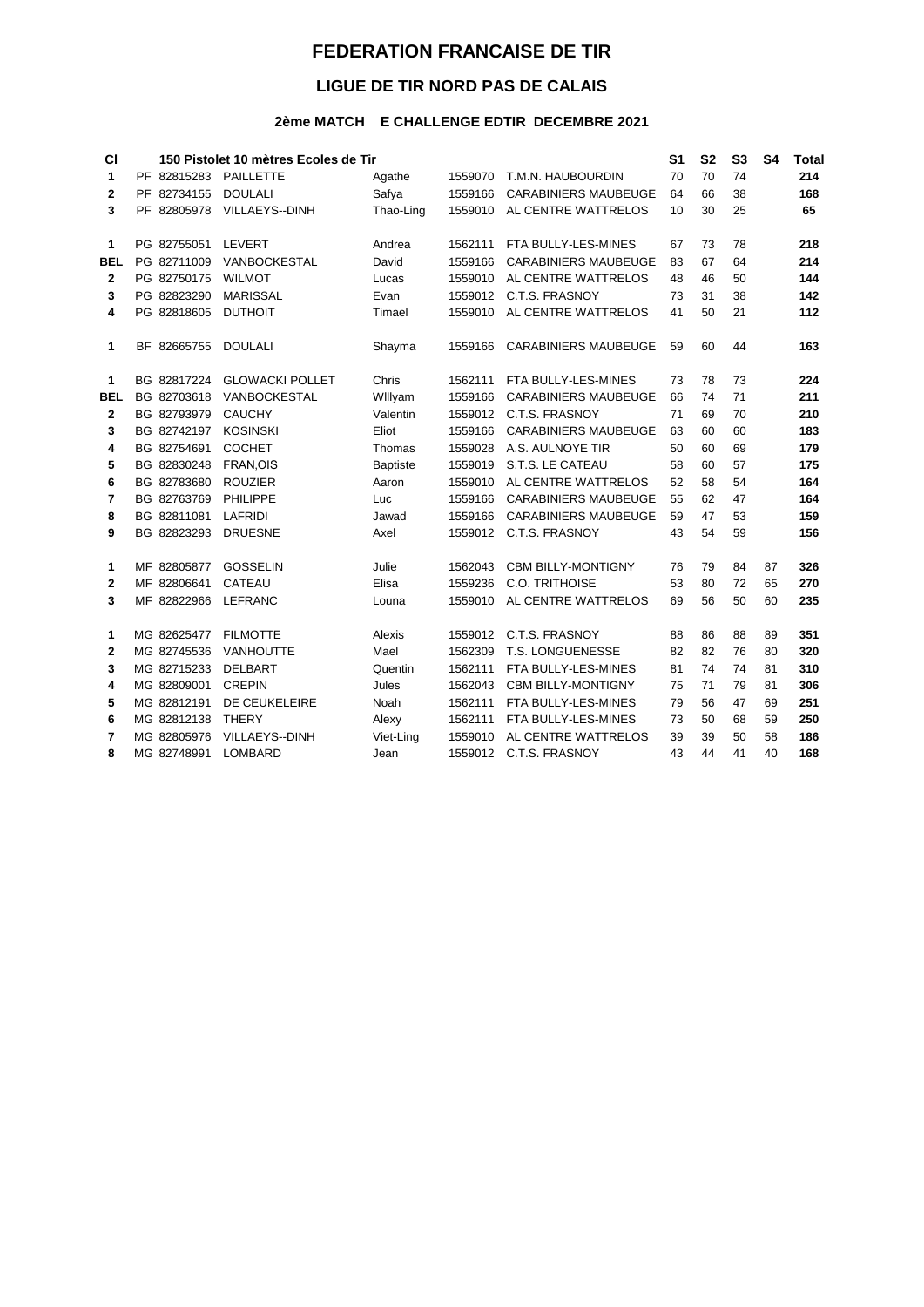## **FEDERATION FRANCAISE DE TIR**

## LIGUE DE TIR NORD PAS DE CALAIS

## 2ème MATCH E CHALLENGE EDTIR DECEMBRE 2021

| <b>CI</b>    | 150 Pistolet 10 mètres Ecoles de Tir |                        |                 |         |                             |    | S <sub>2</sub> | S <sub>3</sub> | S <sub>4</sub> | <b>Total</b> |
|--------------|--------------------------------------|------------------------|-----------------|---------|-----------------------------|----|----------------|----------------|----------------|--------------|
| 1            | PF 82815283                          | <b>PAILLETTE</b>       | Agathe          | 1559070 | T.M.N. HAUBOURDIN           | 70 | 70             | 74             |                | 214          |
| $\mathbf{2}$ | PF 82734155                          | <b>DOULALI</b>         | Safya           | 1559166 | <b>CARABINIERS MAUBEUGE</b> | 64 | 66             | 38             |                | 168          |
| 3            | PF 82805978                          | VILLAEYS--DINH         | Thao-Ling       | 1559010 | AL CENTRE WATTRELOS         | 10 | 30             | 25             |                | 65           |
| 1            | PG 82755051                          | <b>LEVERT</b>          | Andrea          | 1562111 | FTA BULLY-LES-MINES         | 67 | 73             | 78             |                | 218          |
| <b>BEL</b>   | PG 82711009                          | VANBOCKESTAL           | David           | 1559166 | <b>CARABINIERS MAUBEUGE</b> | 83 | 67             | 64             |                | 214          |
| $\mathbf{2}$ | PG 82750175                          | <b>WILMOT</b>          | Lucas           | 1559010 | AL CENTRE WATTRELOS         | 48 | 46             | 50             |                | 144          |
| 3            | PG 82823290                          | <b>MARISSAL</b>        | Evan            |         | 1559012 C.T.S. FRASNOY      | 73 | 31             | 38             |                | 142          |
| 4            | PG 82818605                          | <b>DUTHOIT</b>         | Timael          | 1559010 | AL CENTRE WATTRELOS         | 41 | 50             | 21             |                | 112          |
| 1            | BF 82665755                          | <b>DOULALI</b>         | Shayma          | 1559166 | <b>CARABINIERS MAUBEUGE</b> | 59 | 60             | 44             |                | 163          |
| 1            | BG 82817224                          | <b>GLOWACKI POLLET</b> | Chris           | 1562111 | FTA BULLY-LES-MINES         | 73 | 78             | 73             |                | 224          |
| <b>BEL</b>   | BG 82703618                          | VANBOCKESTAL           | Willyam         | 1559166 | <b>CARABINIERS MAUBEUGE</b> | 66 | 74             | 71             |                | 211          |
| $\mathbf{2}$ | BG 82793979                          | <b>CAUCHY</b>          | Valentin        | 1559012 | C.T.S. FRASNOY              | 71 | 69             | 70             |                | 210          |
| 3            | BG 82742197                          | <b>KOSINSKI</b>        | Eliot           | 1559166 | <b>CARABINIERS MAUBEUGE</b> | 63 | 60             | 60             |                | 183          |
| 4            | BG 82754691                          | <b>COCHET</b>          | Thomas          | 1559028 | A.S. AULNOYE TIR            | 50 | 60             | 69             |                | 179          |
| 5            | BG 82830248                          | FRAN, OIS              | <b>Baptiste</b> | 1559019 | S.T.S. LE CATEAU            | 58 | 60             | 57             |                | 175          |
| 6            | BG 82783680                          | <b>ROUZIER</b>         | Aaron           | 1559010 | AL CENTRE WATTRELOS         | 52 | 58             | 54             |                | 164          |
| 7            | BG 82763769                          | PHILIPPE               | Luc             | 1559166 | <b>CARABINIERS MAUBEUGE</b> | 55 | 62             | 47             |                | 164          |
| 8            | BG 82811081                          | <b>LAFRIDI</b>         | Jawad           | 1559166 | <b>CARABINIERS MAUBEUGE</b> | 59 | 47             | 53             |                | 159          |
| 9            | BG 82823293                          | <b>DRUESNE</b>         | Axel            | 1559012 | C.T.S. FRASNOY              | 43 | 54             | 59             |                | 156          |
| 1            | MF 82805877                          | <b>GOSSELIN</b>        | Julie           | 1562043 | <b>CBM BILLY-MONTIGNY</b>   | 76 | 79             | 84             | 87             | 326          |
| $\mathbf{2}$ | MF 82806641                          | <b>CATEAU</b>          | Elisa           | 1559236 | C.O. TRITHOISE              | 53 | 80             | 72             | 65             | 270          |
| 3            | MF 82822966                          | <b>LEFRANC</b>         | Louna           | 1559010 | AL CENTRE WATTRELOS         | 69 | 56             | 50             | 60             | 235          |
| 1            | MG 82625477                          | <b>FILMOTTE</b>        | Alexis          | 1559012 | C.T.S. FRASNOY              | 88 | 86             | 88             | 89             | 351          |
| $\mathbf{2}$ | MG 82745536                          | <b>VANHOUTTE</b>       | Mael            | 1562309 | T.S. LONGUENESSE            | 82 | 82             | 76             | 80             | 320          |
| 3            | MG 82715233                          | <b>DELBART</b>         | Quentin         | 1562111 | FTA BULLY-LES-MINES         | 81 | 74             | 74             | 81             | 310          |
| 4            | MG 82809001                          | <b>CREPIN</b>          | Jules           | 1562043 | <b>CBM BILLY-MONTIGNY</b>   | 75 | 71             | 79             | 81             | 306          |
| 5            | MG 82812191                          | DE CEUKELEIRE          | Noah            | 1562111 | FTA BULLY-LES-MINES         | 79 | 56             | 47             | 69             | 251          |
| 6            | MG 82812138                          | <b>THERY</b>           | Alexy           | 1562111 | FTA BULLY-LES-MINES         | 73 | 50             | 68             | 59             | 250          |
| 7            | MG 82805976                          | VILLAEYS--DINH         | Viet-Ling       | 1559010 | AL CENTRE WATTRELOS         | 39 | 39             | 50             | 58             | 186          |
| 8            | MG 82748991                          | <b>LOMBARD</b>         | Jean            |         | 1559012 C.T.S. FRASNOY      | 43 | 44             | 41             | 40             | 168          |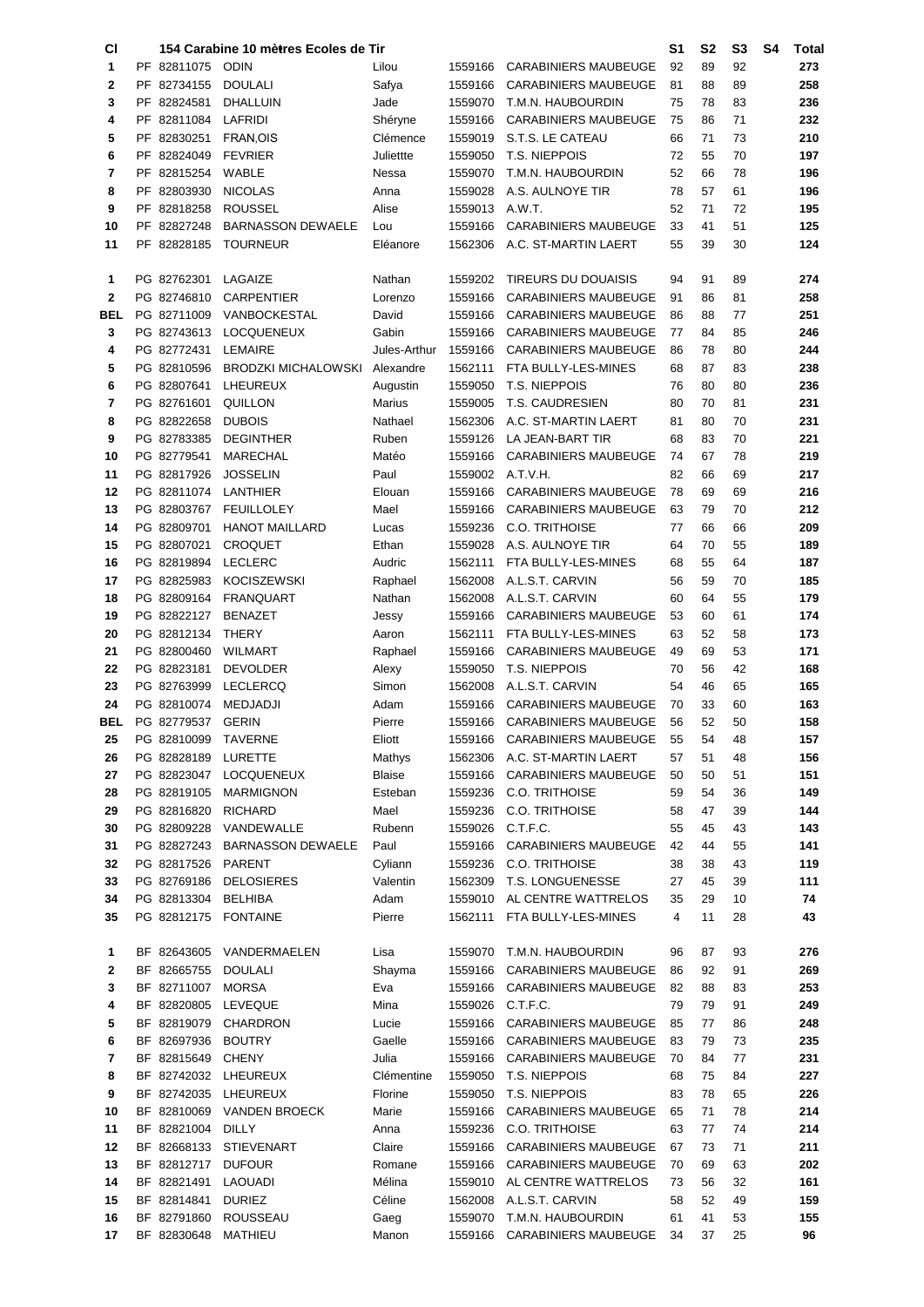| СI          |                            | 154 Carabine 10 mè <del>t</del> res Ecoles de Tir |                |                    |                                                  | S1       | S2       | S <sub>3</sub> | S4 | Total      |
|-------------|----------------------------|---------------------------------------------------|----------------|--------------------|--------------------------------------------------|----------|----------|----------------|----|------------|
| 1           | PF 82811075                | <b>ODIN</b>                                       | Lilou          | 1559166            | CARABINIERS MAUBEUGE                             | 92       | 89       | 92             |    | 273        |
| 2           | PF 82734155                | <b>DOULALI</b>                                    | Safya          | 1559166            | <b>CARABINIERS MAUBEUGE</b>                      | 81       | 88       | 89             |    | 258        |
| 3           | PF 82824581                | DHALLUIN                                          | Jade           | 1559070            | T.M.N. HAUBOURDIN                                | 75       | 78       | 83             |    | 236        |
| 4           | PF 82811084                | LAFRIDI                                           | Shéryne        | 1559166            | <b>CARABINIERS MAUBEUGE</b>                      | 75       | 86       | 71             |    | 232        |
| 5           | PF 82830251                | FRAN, OIS                                         | Clémence       | 1559019            | S.T.S. LE CATEAU                                 | 66       | 71       | 73             |    | 210        |
| 6           | PF 82824049                | <b>FEVRIER</b>                                    | Juliettte      | 1559050            | T.S. NIEPPOIS                                    | 72       | 55       | 70             |    | 197        |
| 7           | PF 82815254                | WABLE                                             | Nessa          | 1559070            | T.M.N. HAUBOURDIN                                | 52       | 66       | 78             |    | 196        |
| 8           | PF 82803930                | <b>NICOLAS</b>                                    | Anna           | 1559028            | A.S. AULNOYE TIR                                 | 78       | 57       | 61             |    | 196        |
| 9           | PF 82818258                | <b>ROUSSEL</b>                                    | Alise          | 1559013            | A.W.T.                                           | 52       | 71       | 72             |    | 195        |
| 10          | PF 82827248                | <b>BARNASSON DEWAELE</b>                          | Lou            | 1559166            | <b>CARABINIERS MAUBEUGE</b>                      | 33       | 41       | 51             |    | 125        |
| 11          | PF 82828185                | <b>TOURNEUR</b>                                   | Eléanore       | 1562306            | A.C. ST-MARTIN LAERT                             | 55       | 39       | 30             |    | 124        |
|             |                            |                                                   |                |                    |                                                  |          |          |                |    |            |
| 1           | PG 82762301                | LAGAIZE                                           | Nathan         | 1559202            | <b>TIREURS DU DOUAISIS</b>                       | 94       | 91       | 89             |    | 274        |
| $\mathbf 2$ | PG 82746810                | <b>CARPENTIER</b>                                 | Lorenzo        | 1559166            | <b>CARABINIERS MAUBEUGE</b>                      | 91       | 86       | 81             |    | 258        |
| BEL         | PG 82711009                | VANBOCKESTAL                                      | David          | 1559166            | <b>CARABINIERS MAUBEUGE</b>                      | 86       | 88       | 77             |    | 251        |
| 3           | PG 82743613                | <b>LOCQUENEUX</b>                                 | Gabin          | 1559166            | <b>CARABINIERS MAUBEUGE</b>                      | 77       | 84       | 85             |    | 246        |
| 4           | PG 82772431                | <b>LEMAIRE</b>                                    | Jules-Arthur   | 1559166            | <b>CARABINIERS MAUBEUGE</b>                      | 86       | 78       | 80             |    | 244        |
| 5           | PG 82810596                | <b>BRODZKI MICHALOWSKI</b>                        | Alexandre      | 1562111            | FTA BULLY-LES-MINES                              | 68       | 87       | 83             |    | 238        |
| 6           | PG 82807641                | LHEUREUX                                          | Augustin       | 1559050            | T.S. NIEPPOIS                                    | 76       | 80       | 80             |    | 236        |
| 7           | PG 82761601                | QUILLON                                           | Marius         | 1559005            | <b>T.S. CAUDRESIEN</b>                           | 80       | 70       | 81             |    | 231        |
| 8           | PG 82822658                | <b>DUBOIS</b>                                     | Nathael        | 1562306            | A.C. ST-MARTIN LAERT                             | 81       | 80       | 70             |    | 231        |
| 9           | PG 82783385                | <b>DEGINTHER</b>                                  | Ruben          | 1559126            | LA JEAN-BART TIR                                 | 68       | 83       | 70             |    | 221        |
| 10          | PG 82779541                | <b>MARECHAL</b>                                   | Matéo          | 1559166            | <b>CARABINIERS MAUBEUGE</b>                      | 74       | 67       | 78             |    | 219        |
| 11          | PG 82817926<br>PG 82811074 | <b>JOSSELIN</b>                                   | Paul           | 1559002<br>1559166 | A.T.V.H.                                         | 82<br>78 | 66       | 69             |    | 217        |
| 12          |                            | LANTHIER                                          | Elouan         |                    | <b>CARABINIERS MAUBEUGE</b>                      |          | 69       | 69             |    | 216        |
| 13<br>14    | PG 82803767<br>PG 82809701 | <b>FEUILLOLEY</b><br><b>HANOT MAILLARD</b>        | Mael           | 1559166<br>1559236 | CARABINIERS MAUBEUGE<br><b>C.O. TRITHOISE</b>    | 63<br>77 | 79<br>66 | 70<br>66       |    | 212<br>209 |
| 15          | PG 82807021                | <b>CROQUET</b>                                    | Lucas<br>Ethan | 1559028            | A.S. AULNOYE TIR                                 | 64       | 70       | 55             |    | 189        |
| 16          | PG 82819894                | <b>LECLERC</b>                                    | Audric         | 1562111            | FTA BULLY-LES-MINES                              | 68       | 55       | 64             |    | 187        |
| 17          | PG 82825983                | <b>KOCISZEWSKI</b>                                | Raphael        | 1562008            | A.L.S.T. CARVIN                                  | 56       | 59       | 70             |    | 185        |
| 18          | PG 82809164                | <b>FRANQUART</b>                                  | Nathan         | 1562008            | A.L.S.T. CARVIN                                  | 60       | 64       | 55             |    | 179        |
| 19          | PG 82822127                | <b>BENAZET</b>                                    | Jessy          | 1559166            | <b>CARABINIERS MAUBEUGE</b>                      | 53       | 60       | 61             |    | 174        |
| 20          | PG 82812134                | <b>THERY</b>                                      | Aaron          | 1562111            | FTA BULLY-LES-MINES                              | 63       | 52       | 58             |    | 173        |
| 21          | PG 82800460                | <b>WILMART</b>                                    | Raphael        | 1559166            | <b>CARABINIERS MAUBEUGE</b>                      | 49       | 69       | 53             |    | 171        |
| 22          | PG 82823181                | <b>DEVOLDER</b>                                   | Alexy          | 1559050            | <b>T.S. NIEPPOIS</b>                             | 70       | 56       | 42             |    | 168        |
| 23          | PG 82763999                | <b>LECLERCQ</b>                                   | Simon          | 1562008            | A.L.S.T. CARVIN                                  | 54       | 46       | 65             |    | 165        |
| 24          | PG 82810074                | <b>MEDJADJI</b>                                   | Adam           | 1559166            | <b>CARABINIERS MAUBEUGE</b>                      | 70       | 33       | 60             |    | 163        |
| BEL         | PG 82779537                | <b>GERIN</b>                                      | Pierre         | 1559166            | <b>CARABINIERS MAUBEUGE</b>                      | 56       | 52       | 50             |    | 158        |
| 25          | PG 82810099 TAVERNE        |                                                   | Eliott         |                    | 1559166 CARABINIERS MAUBEUGE                     | 55       | 54       | 48             |    | 157        |
| 26          | PG 82828189                | LURETTE                                           | Mathys         |                    | 1562306 A.C. ST-MARTIN LAERT                     | 57       | 51       | 48             |    | 156        |
| 27          | PG 82823047                | <b>LOCQUENEUX</b>                                 | Blaise         | 1559166            | CARABINIERS MAUBEUGE                             | 50       | 50       | 51             |    | 151        |
| 28          | PG 82819105                | <b>MARMIGNON</b>                                  | Esteban        | 1559236            | <b>C.O. TRITHOISE</b>                            | 59       | 54       | 36             |    | 149        |
| 29          | PG 82816820                | <b>RICHARD</b>                                    | Mael           | 1559236            | <b>C.O. TRITHOISE</b>                            | 58       | 47       | 39             |    | 144        |
| 30          | PG 82809228                | VANDEWALLE                                        | Rubenn         | 1559026            | C.T.F.C.                                         | 55       | 45       | 43             |    | 143        |
| 31          | PG 82827243                | <b>BARNASSON DEWAELE</b>                          | Paul           | 1559166            | <b>CARABINIERS MAUBEUGE</b>                      | 42       | 44       | 55             |    | 141        |
| 32          | PG 82817526                | PARENT                                            | Cyliann        | 1559236            | <b>C.O. TRITHOISE</b>                            | 38       | 38       | 43             |    | 119        |
| 33          | PG 82769186                | <b>DELOSIERES</b>                                 | Valentin       | 1562309            | T.S. LONGUENESSE                                 | 27       | 45       | 39             |    | 111        |
| 34          | PG 82813304                | <b>BELHIBA</b>                                    | Adam           | 1559010            | AL CENTRE WATTRELOS                              | 35       | 29       | 10             |    | 74         |
| 35          | PG 82812175                | <b>FONTAINE</b>                                   | Pierre         | 1562111            | FTA BULLY-LES-MINES                              | 4        | 11       | 28             |    | 43         |
|             |                            |                                                   |                |                    |                                                  |          |          |                |    |            |
| 1           | BF 82643605                | VANDERMAELEN                                      | Lisa           | 1559070            | T.M.N. HAUBOURDIN                                | 96       | 87       | 93             |    | 276        |
| 2           | BF 82665755                | <b>DOULALI</b>                                    | Shayma         | 1559166            | <b>CARABINIERS MAUBEUGE</b>                      | 86       | 92       | 91             |    | 269        |
| 3           | BF 82711007                | <b>MORSA</b>                                      | Eva            | 1559166            | <b>CARABINIERS MAUBEUGE</b>                      | 82       | 88       | 83             |    | 253        |
| 4           | BF 82820805                | <b>LEVEQUE</b>                                    | Mina           | 1559026            | C.T.F.C.                                         | 79       | 79       | 91             |    | 249        |
| 5           | BF 82819079                | <b>CHARDRON</b>                                   | Lucie          | 1559166            | <b>CARABINIERS MAUBEUGE</b>                      | 85       | 77       | 86             |    | 248        |
| 6           | BF 82697936                | <b>BOUTRY</b>                                     | Gaelle         | 1559166            | CARABINIERS MAUBEUGE                             | 83       | 79       | 73             |    | 235        |
| 7           | BF 82815649                | <b>CHENY</b>                                      | Julia          | 1559166            | CARABINIERS MAUBEUGE                             | 70       | 84       | 77             |    | 231        |
| 8           |                            | BF 82742032 LHEUREUX                              | Clémentine     | 1559050            | T.S. NIEPPOIS                                    | 68       | 75       | 84             |    | 227        |
| 9           |                            | BF 82742035 LHEUREUX                              | Florine        | 1559050            | T.S. NIEPPOIS                                    | 83       | 78       | 65             |    | 226        |
| 10          | BF 82810069                | <b>VANDEN BROECK</b>                              | Marie          | 1559166            | CARABINIERS MAUBEUGE                             | 65       | 71       | 78             |    | 214        |
| 11          | BF 82821004                | <b>DILLY</b>                                      | Anna           | 1559236            | C.O. TRITHOISE                                   | 63       | 77       | 74             |    | 214        |
| 12          | BF 82668133                | <b>STIEVENART</b>                                 | Claire         | 1559166            | <b>CARABINIERS MAUBEUGE</b>                      | 67       | 73       | 71             |    | 211        |
| 13          | BF 82812717                | <b>DUFOUR</b>                                     | Romane         | 1559166            | <b>CARABINIERS MAUBEUGE</b>                      | 70       | 69       | 63             |    | 202        |
| 14          | BF 82821491                | <b>LAOUADI</b>                                    | Mélina         | 1559010            | AL CENTRE WATTRELOS                              | 73       | 56       | 32             |    | 161        |
| 15          | BF 82814841                | <b>DURIEZ</b>                                     | Céline         | 1562008            | A.L.S.T. CARVIN                                  | 58       | 52       | 49             |    | 159        |
| 16          | BF 82791860                | <b>ROUSSEAU</b>                                   | Gaeg           | 1559070            | T.M.N. HAUBOURDIN<br><b>CARABINIERS MAUBEUGE</b> | 61       | 41<br>37 | 53<br>25       |    | 155<br>96  |
| 17          | BF 82830648                | <b>MATHIEU</b>                                    | Manon          | 1559166            |                                                  | 34       |          |                |    |            |